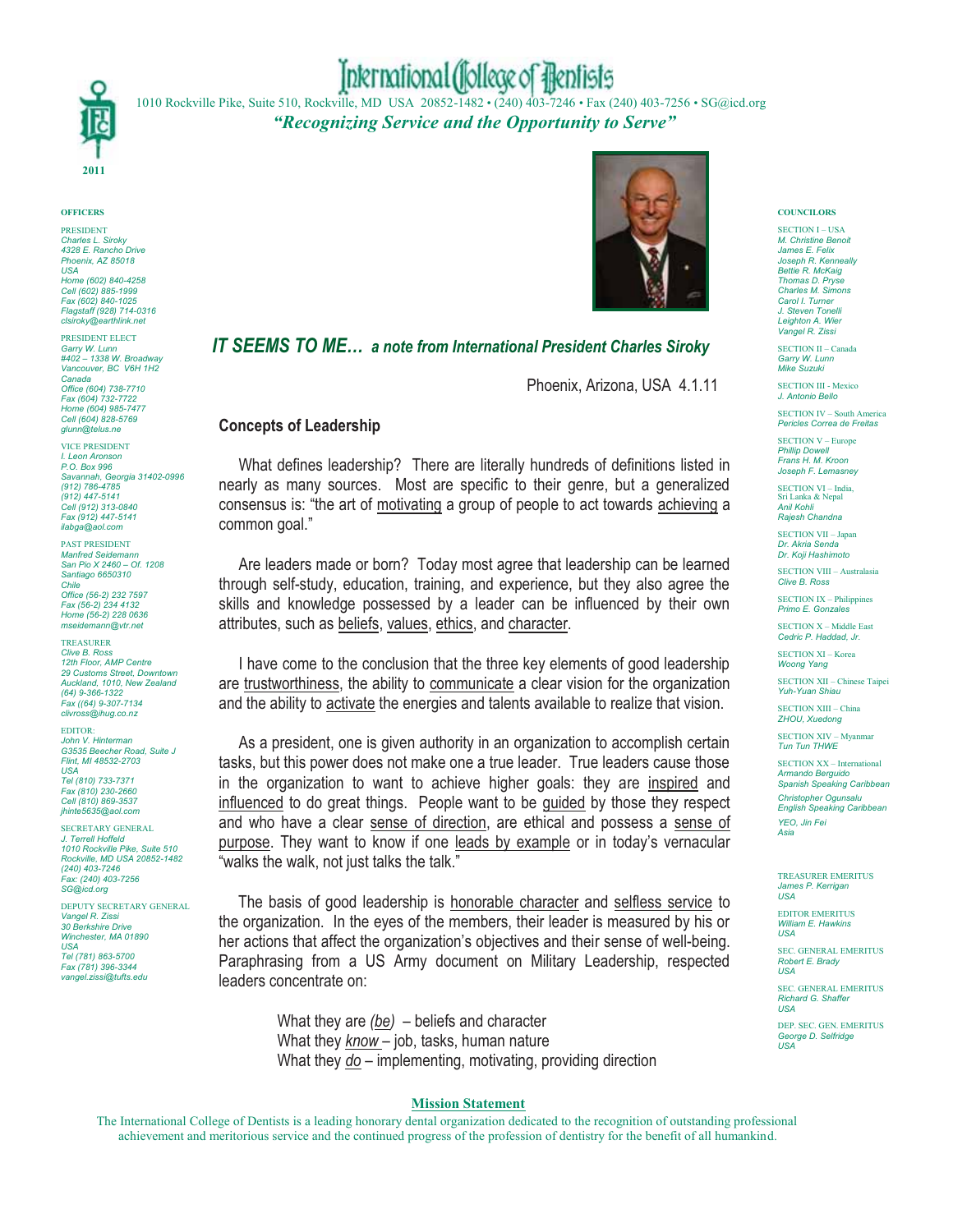

# International (follege of flentists

1010 Rockville Pike, Suite 510, Rockville, MD USA 20852-1482 • (240) 403-7246 • Fax (240) 403-7256 • SG@icd.org *"Recognizing Service and the Opportunity to Serve"*

#### **OFFICERS**

PRESIDENT *Charles L. Siroky 4328 E. Rancho Drive Phoenix, AZ 85018 USA Home (602) 840-4258 Cell (602) 885-1999 Fax (602) 840-1025 Flagstaff (928) 714-0316 clsiroky@earthlink.net*

PRESIDENT ELECT *Garry W. Lunn #402 – 1338 W. Broadway Vancouver, BC V6H 1H2 Canada Office (604) 738-7710 Fax (604) 732-7722 Home (604) 985-7477 Cell (604) 828-5769 glunn@telus.ne*

VICE PRESIDENT *I. Leon Aronson P.O. Box 996 Savannah, Georgia 31402-0996 (912) 786-4785 (912) 447-5141 Cell (912) 313-0840 Fax (912) 447-5141 ilabga@aol.com*

PAST PRESIDENT *Manfred Seidemann San Pio X 2460 – Of. 1208 Santiago 6650310 Chile Office (56-2) 232 7597 Fax (56-2) 234 4132 Home (56-2) 228 0636 mseidemann@vtr.net*

TREASURER *Clive B. Ross 12th Floor, AMP Centre* 29 Customs Street, Do *Auckland, 1010, New Zealand (64) 9-366-1322 Fax ((64) 9-307-7134 clivross@ihug.co.nz*

EDITOR: *John V. Hinterman G3535 Beecher Road, Suite J Flint, MI 48532-2703 USA Tel (810) 733-7371 Fax (810) 230-2660 Cell (810) 869-3537*

*jhinte5635@aol.com*

SECRETARY GENERAL *J. Terrell Hoffeld 1010 Rockville Pike, Suite 510 Rockville, MD USA 20852-1482 (240) 403-7246 Fax: (240) 403-7256 SG@icd.org*

DEPUTY SECRETARY GENERAL *Vangel R. Zissi 30 Berkshire Drive Winchester, MA 01890 USA*

*Tel (781) 863-5700 Fax (781) 396-3344 vangel.zissi@tufts.edu*



# *IT SEEMS TO ME… a note from International President Charles Siroky*

Phoenix, Arizona, USA 4.1.11

# **Concepts of Leadership**

What defines leadership? There are literally hundreds of definitions listed in nearly as many sources. Most are specific to their genre, but a generalized consensus is: "the art of motivating a group of people to act towards achieving a common goal."

 Are leaders made or born? Today most agree that leadership can be learned through self-study, education, training, and experience, but they also agree the skills and knowledge possessed by a leader can be influenced by their own attributes, such as beliefs, values, ethics, and character.

 I have come to the conclusion that the three key elements of good leadership are trustworthiness, the ability to communicate a clear vision for the organization and the ability to activate the energies and talents available to realize that vision.

 As a president, one is given authority in an organization to accomplish certain tasks, but this power does not make one a true leader. True leaders cause those in the organization to want to achieve higher goals: they are inspired and influenced to do great things. People want to be guided by those they respect and who have a clear sense of direction, are ethical and possess a sense of purpose. They want to know if one leads by example or in today's vernacular "walks the walk, not just talks the talk."

 The basis of good leadership is honorable character and selfless service to the organization. In the eyes of the members, their leader is measured by his or her actions that affect the organization's objectives and their sense of well-being. Paraphrasing from a US Army document on Military Leadership, respected leaders concentrate on:

> What they are *(be)* – beliefs and character What they *know* – job, tasks, human nature What they *do* – implementing, motivating, providing direction

## **Mission Statement**

The International College of Dentists is a leading honorary dental organization dedicated to the recognition of outstanding professional achievement and meritorious service and the continued progress of the profession of dentistry for the benefit of all humankind.

### **COUNCILORS**

SECTION I – USA *M. Christine Benoit James E. Felix Joseph R. Kenneally Bettie R. McKaig Thomas D. Pryse Charles M. Simons Carol I. Turner J. Steven Tonelli Leighton A. Wier Vangel R. Zissi*

SECTION II – Canada *Garry W. Lunn Mike Suzuki*

SECTION III - Mexico *J. Antonio Bello*

SECTION IV – South America *Pericles Correa de Freitas*

SECTION V – Europe *Phillip Dowell Frans H. M. Kroon Joseph F. Lemasney*

SECTION VI – India, Sri Lanka & Nepal *Anil Kohli Rajesh Chandna*

SECTION VII – Japan *Dr. Akria Senda Dr. Koji Hashimoto*

SECTION VIII – Australasia *Clive B. Ross*

SECTION IX - Philippin *Primo E. Gonzales*

SECTION X – Middle East *Cedric P. Haddad, Jr.*

SECTION XI – Korea *Woong Yang*

SECTION XII – Chinese Taipei *Yuh-Yuan Shiau*

SECTION XIII – China *ZHOU, Xuedong*

SECTION XIV – Myanmar *Tun Tun THWE*

SECTION XX – International *Armando Berguido Spanish Speaking Caribbean Christopher Ogunsalu English Speaking Caribbean YEO, Jin Fei Asia*

TREASURER EMERITUS *James P. Kerrigan USA*

EDITOR EMERITUS<br>William E. Housking *M E. Hawkins USA*

SEC. GENERAL EMERITUS *Robert E. Brady USA*

SEC. GENERAL EMERITUS *Richard G. Shaffer USA*

DEP. SEC. GEN. EMERITUS *George D. Selfridge USA*